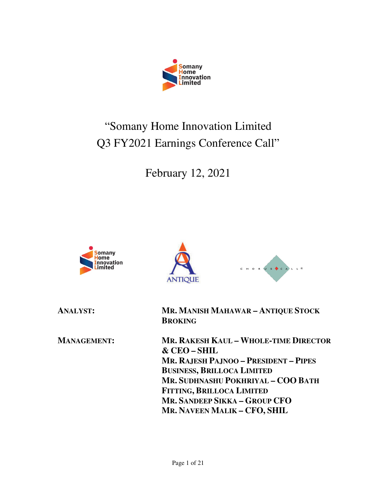

# "Somany Home Innovation Limited Q3 FY2021 Earnings Conference Call"

February 12, 2021







**ANALYST: MR. MANISH MAHAWAR – ANTIQUE STOCK BROKING** 

**MANAGEMENT: MR. RAKESH KAUL – WHOLE-TIME DIRECTOR & CEO – SHIL MR. RAJESH PAJNOO – PRESIDENT – PIPES BUSINESS, BRILLOCA LIMITED MR. SUDHNASHU POKHRIYAL – COO BATH FITTING, BRILLOCA LIMITED MR. SANDEEP SIKKA – GROUP CFO MR. NAVEEN MALIK – CFO, SHIL**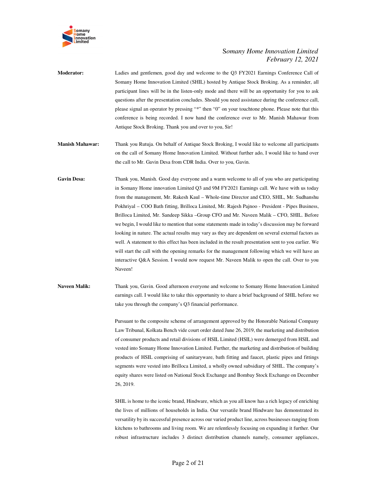

**Moderator:** Ladies and gentlemen, good day and welcome to the Q3 FY2021 Earnings Conference Call of Somany Home Innovation Limited (SHIL) hosted by Antique Stock Broking. As a reminder, all participant lines will be in the listen-only mode and there will be an opportunity for you to ask questions after the presentation concludes. Should you need assistance during the conference call, please signal an operator by pressing "\*" then "0" on your touchtone phone. Please note that this conference is being recorded. I now hand the conference over to Mr. Manish Mahawar from Antique Stock Broking. Thank you and over to you, Sir!

- **Manish Mahawar:** Thank you Rutuja. On behalf of Antique Stock Broking, I would like to welcome all participants on the call of Somany Home Innovation Limited. Without further ado, I would like to hand over the call to Mr. Gavin Desa from CDR India. Over to you, Gavin.
- **Gavin Desa:** Thank you, Manish. Good day everyone and a warm welcome to all of you who are participating in Somany Home innovation Limited Q3 and 9M FY2021 Earnings call. We have with us today from the management, Mr. Rakesh Kaul – Whole-time Director and CEO, SHIL, Mr. Sudhanshu Pokhriyal – COO Bath fitting, Brilloca Limited, Mr. Rajesh Pajnoo - President - Pipes Business, Brilloca Limited, Mr. Sandeep Sikka –Group CFO and Mr. Naveen Malik – CFO, SHIL. Before we begin, I would like to mention that some statements made in today's discussion may be forward looking in nature. The actual results may vary as they are dependent on several external factors as well. A statement to this effect has been included in the result presentation sent to you earlier. We will start the call with the opening remarks for the management following which we will have an interactive Q&A Session. I would now request Mr. Naveen Malik to open the call. Over to you Naveen!
- **Naveen Malik:** Thank you, Gavin. Good afternoon everyone and welcome to Somany Home Innovation Limited earnings call. I would like to take this opportunity to share a brief background of SHIL before we take you through the company's Q3 financial performance.

Pursuant to the composite scheme of arrangement approved by the Honorable National Company Law Tribunal, Kolkata Bench vide court order dated June 26, 2019, the marketing and distribution of consumer products and retail divisions of HSIL Limited (HSIL) were demerged from HSIL and vested into Somany Home Innovation Limited. Further, the marketing and distribution of building products of HSIL comprising of sanitaryware, bath fitting and faucet, plastic pipes and fittings segments were vested into Brilloca Limited, a wholly owned subsidiary of SHIL. The company's equity shares were listed on National Stock Exchange and Bombay Stock Exchange on December 26, 2019.

SHIL is home to the iconic brand, Hindware, which as you all know has a rich legacy of enriching the lives of millions of households in India. Our versatile brand Hindware has demonstrated its versatility by its successful presence across our varied product line, across businesses ranging from kitchens to bathrooms and living room. We are relentlessly focusing on expanding it further. Our robust infrastructure includes 3 distinct distribution channels namely, consumer appliances,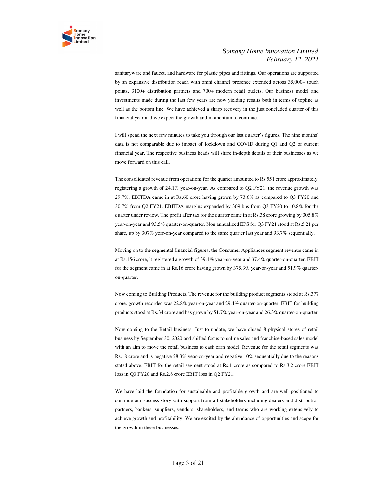

sanitaryware and faucet, and hardware for plastic pipes and fittings. Our operations are supported by an expansive distribution reach with omni channel presence extended across 35,000+ touch points, 3100+ distribution partners and 700+ modern retail outlets. Our business model and investments made during the last few years are now yielding results both in terms of topline as well as the bottom line. We have achieved a sharp recovery in the just concluded quarter of this financial year and we expect the growth and momentum to continue.

I will spend the next few minutes to take you through our last quarter's figures. The nine months' data is not comparable due to impact of lockdown and COVID during Q1 and Q2 of current financial year. The respective business heads will share in-depth details of their businesses as we move forward on this call.

The consolidated revenue from operations for the quarter amounted to Rs.551 crore approximately, registering a growth of 24.1% year-on-year. As compared to Q2 FY21, the revenue growth was 29.7%. EBITDA came in at Rs.60 crore having grown by 73.6% as compared to Q3 FY20 and 30.7% from Q2 FY21. EBITDA margins expanded by 309 bps from Q3 FY20 to 10.8% for the quarter under review. The profit after tax for the quarter came in at Rs.38 crore growing by 305.8% year-on-year and 93.5% quarter-on-quarter. Non annualized EPS for Q3 FY21 stood at Rs.5.21 per share, up by 307% year-on-year compared to the same quarter last year and 93.7% sequentially.

Moving on to the segmental financial figures, the Consumer Appliances segment revenue came in at Rs.156 crore, it registered a growth of 39.1% year-on-year and 37.4% quarter-on-quarter. EBIT for the segment came in at Rs.16 crore having grown by 375.3% year-on-year and 51.9% quarteron-quarter.

Now coming to Building Products. The revenue for the building product segments stood at Rs.377 crore, growth recorded was 22.8% year-on-year and 29.4% quarter-on-quarter. EBIT for building products stood at Rs.34 crore and has grown by 51.7% year-on-year and 26.3% quarter-on-quarter.

Now coming to the Retail business. Just to update, we have closed 8 physical stores of retail business by September 30, 2020 and shifted focus to online sales and franchise-based sales model with an aim to move the retail business to cash earn model**.** Revenue for the retail segments was Rs.18 crore and is negative 28.3% year-on-year and negative 10% sequentially due to the reasons stated above. EBIT for the retail segment stood at Rs.1 crore as compared to Rs.3.2 crore EBIT loss in Q3 FY20 and Rs.2.8 crore EBIT loss in Q2 FY21.

We have laid the foundation for sustainable and profitable growth and are well positioned to continue our success story with support from all stakeholders including dealers and distribution partners, bankers, suppliers, vendors, shareholders, and teams who are working extensively to achieve growth and profitability. We are excited by the abundance of opportunities and scope for the growth in these businesses.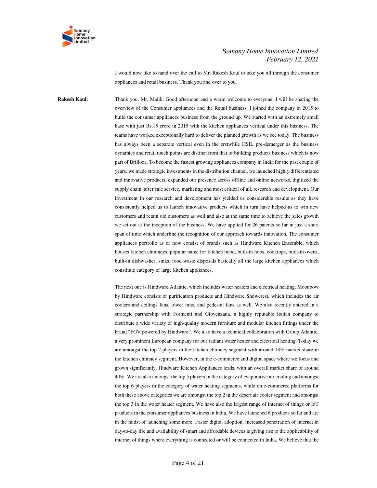

I would now like to hand over the call to Mr. Rakesh Kaul to take you all through the consumer appliances and retail business. Thank you and over to you.

**Rakesh Kaul:** Thank you, Mr. Malik. Good afternoon and a warm welcome to everyone. I will be sharing the overview of the Consumer appliances and the Retail business. I joined the company in 2015 to build the consumer appliances business from the ground up. We started with an extremely small base with just Rs.15 crore in 2015 with the kitchen appliances vertical under this business. The teams have worked exceptionally hard to deliver the planned growth as we see today. The business has always been a separate vertical even in the erstwhile HSIL pre-demerger as the business dynamics and retail touch points are distinct from that of building products business which is now part of Brilloca. To become the fastest growing appliances company in India for the past couple of years, we made strategic investments in the distribution channel, we launched highly differentiated and innovative products, expanded our presence across offline and online networks, digitized the supply chain, after sale service, marketing and most critical of all, research and development. Our investment in our research and development has yielded us considerable results as they have consistently helped us to launch innovative products which in turn have helped us to win new customers and retain old customers as well and also at the same time to achieve the sales growth we set out at the inception of the business. We have applied for 26 patents so far in just a short span of time which underline the recognition of our approach towards innovation. The consumer appliances portfolio as of now consist of brands such as Hindware Kitchen Ensemble, which houses kitchen chimneys, popular name for kitchen hood, built-in hobs, cooktops, built-in ovens, built-in dishwasher, sinks, food waste disposals basically all the large kitchen appliances which constitute category of large kitchen appliances.

> The next one is Hindware Atlantic, which includes water heaters and electrical heating. Moonbow by Hindware consists of purification products and Hindware Snowcrest, which includes the air coolers and ceilings fans, tower fans, and pedestal fans as well. We also recently entered in a strategic partnership with Formenti and Giovenzana, a highly reputable Italian company to distribute a wide variety of high-quality modern furniture and modular kitchen fittings under the brand "FGV powered by Hindware". We also have a technical collaboration with Group Atlantic, a very prominent European company for our radiant water heater and electrical heating. Today we are amongst the top 2 players in the kitchen chimney segment with around 18% market share in the kitchen chimney segment. However, in the e-commerce and digital space where we focus and grown significantly. Hindware Kitchen Appliances leads, with an overall market share of around 40%. We are also amongst the top 5 players in the category of evaporative air cooling and amongst the top 6 players in the category of water heating segments, while on e-commerce platforms for both these above categories we are amongst the top 2 in the desert air cooler segment and amongst the top 3 in the water heater segment. We have also the largest range of internet of things or IoT products in the consumer appliances business in India. We have launched 6 products so far and are in the midst of launching some more. Faster digital adoption, increased penetration of internet in day-to-day life and availability of smart and affordable devices is giving rise to the applicability of internet of things where everything is connected or will be connected in India. We believe that the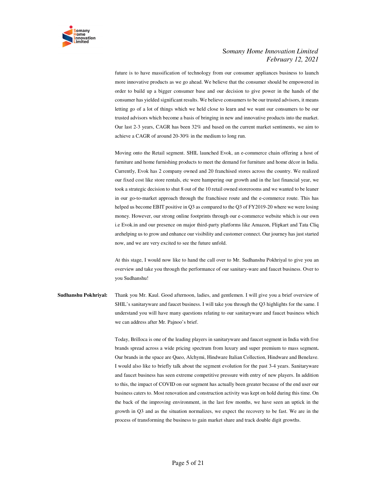

future is to have massification of technology from our consumer appliances business to launch more innovative products as we go ahead. We believe that the consumer should be empowered in order to build up a bigger consumer base and our decision to give power in the hands of the consumer has yielded significant results. We believe consumers to be our trusted advisors, it means letting go of a lot of things which we held close to learn and we want our consumers to be our trusted advisors which become a basis of bringing in new and innovative products into the market. Our last 2-3 years, CAGR has been 32% and based on the current market sentiments, we aim to achieve a CAGR of around 20-30% in the medium to long run.

Moving onto the Retail segment. SHIL launched Evok, an e-commerce chain offering a host of furniture and home furnishing products to meet the demand for furniture and home décor in India. Currently, Evok has 2 company owned and 20 franchised stores across the country. We realized our fixed cost like store rentals, etc were hampering our growth and in the last financial year, we took a strategic decision to shut 8 out of the 10 retail owned storerooms and we wanted to be leaner in our go-to-market approach through the franchisee route and the e-commerce route. This has helped us become EBIT positive in Q3 as compared to the Q3 of FY2019-20 where we were losing money. However, our strong online footprints through our e-commerce website which is our own i.e Evok.in and our presence on major third-party platforms like Amazon, Flipkart and Tata Cliq arehelping us to grow and enhance our visibility and customer connect. Our journey has just started now, and we are very excited to see the future unfold.

At this stage, I would now like to hand the call over to Mr. Sudhanshu Pokhriyal to give you an overview and take you through the performance of our sanitary-ware and faucet business. Over to you Sudhanshu!

**Sudhanshu Pokhriyal:** Thank you Mr. Kaul. Good afternoon, ladies, and gentlemen. I will give you a brief overview of SHIL's sanitaryware and faucet business. I will take you through the Q3 highlights for the same. I understand you will have many questions relating to our sanitaryware and faucet business which we can address after Mr. Pajnoo's brief.

> Today, Brilloca is one of the leading players in sanitaryware and faucet segment in India with five brands spread across a wide pricing spectrum from luxury and super premium to mass segment**.**  Our brands in the space are Queo, Alchymi, Hindware Italian Collection, Hindware and Benelave. I would also like to briefly talk about the segment evolution for the past 3-4 years. Sanitaryware and faucet business has seen extreme competitive pressure with entry of new players. In addition to this, the impact of COVID on our segment has actually been greater because of the end user our business caters to. Most renovation and construction activity was kept on hold during this time. On the back of the improving environment, in the last few months, we have seen an uptick in the growth in Q3 and as the situation normalizes, we expect the recovery to be fast. We are in the process of transforming the business to gain market share and track double digit growths.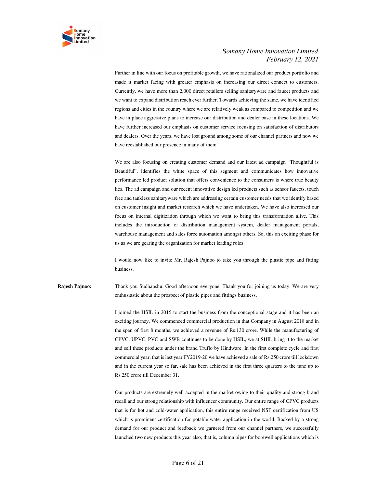

Further in line with our focus on profitable growth, we have rationalized our product portfolio and made it market facing with greater emphasis on increasing our direct connect to customers. Currently, we have more than 2,000 direct retailers selling sanitaryware and faucet products and we want to expand distribution reach ever further. Towards achieving the same, we have identified regions and cities in the country where we are relatively weak as compared to competition and we have in place aggressive plans to increase our distribution and dealer base in these locations. We have further increased our emphasis on customer service focusing on satisfaction of distributors and dealers. Over the years, we have lost ground among some of our channel partners and now we have reestablished our presence in many of them.

We are also focusing on creating customer demand and our latest ad campaign "Thoughtful is Beautiful", identifies the white space of this segment and communicates how innovative performance led product solution that offers convenience to the consumers is where true beauty lies. The ad campaign and our recent innovative design led products such as sensor faucets, touch free and tankless sanitaryware which are addressing certain customer needs that we identify based on customer insight and market research which we have undertaken. We have also increased our focus on internal digitization through which we want to bring this transformation alive. This includes the introduction of distribution management system, dealer management portals, warehouse management and sales force automation amongst others. So, this an exciting phase for us as we are gearing the organization for market leading roles.

I would now like to invite Mr. Rajesh Pajnoo to take you through the plastic pipe and fitting business.

**Rajesh Pajnoo:** Thank you Sudhanshu. Good afternoon everyone. Thank you for joining us today. We are very enthusiastic about the prospect of plastic pipes and fittings business.

> I joined the HSIL in 2015 to start the business from the conceptional stage and it has been an exciting journey. We commenced commercial production in that Company in August 2018 and in the span of first 8 months, we achieved a revenue of Rs.130 crore. While the manufacturing of CPVC, UPVC, PVC and SWR continues to be done by HSIL, we at SHIL bring it to the market and sell these products under the brand Truflo by Hindware. In the first complete cycle and first commercial year, that is last year FY2019-20 we have achieved a sale of Rs.250 crore till lockdown and in the current year so far, sale has been achieved in the first three quarters to the tune up to Rs.250 crore till December 31.

> Our products are extremely well accepted in the market owing to their quality and strong brand recall and our strong relationship with influencer community. Our entire range of CPVC products that is for hot and cold-water application, this entire range received NSF certification from US which is prominent certification for potable water application in the world. Backed by a strong demand for our product and feedback we garnered from our channel partners, we successfully launched two new products this year also, that is, column pipes for borewell applications which is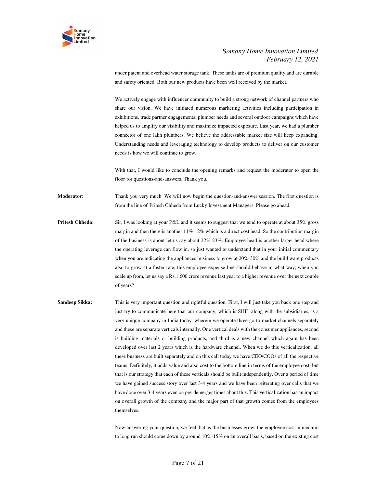

under patent and overhead water storage tank. These tanks are of premium quality and are durable and safety oriented. Both our new products have been well received by the market.

We actively engage with influencer community to build a strong network of channel partners who share our vision. We have initiated numerous marketing activities including participation in exhibitions, trade partner engagements, plumber needs and several outdoor campaigns which have helped us to amplify our visibility and maximize impacted exposure. Last year, we had a plumber connector of one lakh plumbers. We believe the addressable market size will keep expanding. Understanding needs and leveraging technology to develop products to deliver on our customer needs is how we will continue to grow.

With that, I would like to conclude the opening remarks and request the moderator to open the floor for questions-and-answers. Thank you.

**Moderator:** Thank you very much. We will now begin the question-and-answer session. The first question is from the line of Pritesh Chheda from Lucky Investment Managers. Please go ahead.

- **Pritesh Chheda**: Sir, I was looking at your P&L and it seems to suggest that we tend to operate at about 35% gross margin and then there is another  $11\% - 12\%$  which is a direct cost head. So the contribution margin of the business is about let us say about 22%-23%. Employee head is another larger head where the operating leverage can flow in, so just wanted to understand that in your initial commentary when you are indicating the appliances business to grow at  $20\%$ -30% and the build ware products also to grow at a faster rate, this employee expense line should behave in what way, when you scale up from, let us say a Rs.1,600 crore revenue last year to a higher revenue over the next couple of years?
- **Sandeep Sikka:** This is very important question and rightful question. First, I will just take you back one step and just try to communicate here that our company, which is SHIL along with the subsidiaries, is a very unique company in India today, wherein we operate three go-to-market channels separately and these are separate verticals internally. One vertical deals with the consumer appliances, second is building materials or building products, and third is a new channel which again has been developed over last 2 years which is the hardware channel. When we do this verticalization, all these business are built separately and on this call today we have CEO/COOs of all the respective teams. Definitely, it adds value and also cost to the bottom line in terms of the employee cost, but that is our strategy that each of these verticals should be built independently. Over a period of time we have gained success story over last 3-4 years and we have been reiterating over calls that we have done over 3-4 years even on pre-demerger times about this. This verticalization has an impact on overall growth of the company and the major part of that growth comes from the employees themselves.

Now answering your question, we feel that as the businesses grow, the employee cost in medium to long run should come down by around 10%-15% on an overall basis, based on the existing cost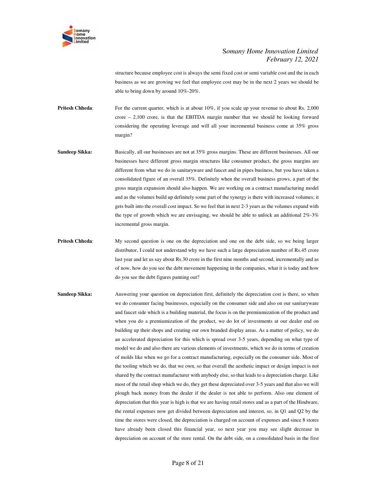

structure because employee cost is always the semi fixed cost or semi variable cost and the in each business as we are growing we feel that employee cost may be in the next 2 years we should be able to bring down by around 10%-20%.

**Pritesh Chheda:** For the current quarter, which is at about 10%, if you scale up your revenue to about Rs. 2,000 crore – 2,100 crore, is that the EBITDA margin number that we should be looking forward considering the operating leverage and will all your incremental business come at 35% gross margin?

- **Sandeep Sikka:** Basically, all our businesses are not at 35% gross margins. These are different businesses. All our businesses have different gross margin structures like consumer product, the gross margins are different from what we do in sanitaryware and faucet and in pipes business, but you have taken a consolidated figure of an overall 35%. Definitely when the overall business grows, a part of the gross margin expansion should also happen. We are working on a contract manufacturing model and as the volumes build up definitely some part of the synergy is there with increased volumes; it gets built into the overall cost impact. So we feel that in next 2-3 years as the volumes expand with the type of growth which we are envisaging, we should be able to unlock an additional  $2\%$ -3% incremental gross margin.
- **Pritesh Chheda:** My second question is one on the depreciation and one on the debt side, so we being larger distributor, I could not understand why we have such a large depreciation number of Rs.45 crore last year and let us say about Rs.30 crore in the first nine months and second, incrementally and as of now, how do you see the debt movement happening in the companies, what it is today and how do you see the debt figures panning out?
- **Sandeep Sikka:** Answering your question on depreciation first, definitely the depreciation cost is there, so when we do consumer facing businesses, especially on the consumer side and also on our sanitaryware and faucet side which is a building material, the focus is on the premiumization of the product and when you do a premiumization of the product, we do lot of investments at our dealer end on building up their shops and creating our own branded display areas. As a matter of policy, we do an accelerated depreciation for this which is spread over 3-5 years, depending on what type of model we do and also there are various elements of investments, which we do in terms of creation of molds like when we go for a contract manufacturing, especially on the consumer side. Most of the tooling which we do, that we own, so that overall the aesthetic impact or design impact is not shared by the contract manufacturer with anybody else, so that leads to a depreciation charge. Like most of the retail shop which we do, they get these depreciated over 3-5 years and that also we will plough back money from the dealer if the dealer is not able to perform. Also one element of depreciation that this year is high is that we are having retail stores and as a part of the Hindware, the rental expenses now get divided between depreciation and interest, so, in Q1 and Q2 by the time the stores were closed, the depreciation is charged on account of expenses and since 8 stores have already been closed this financial year, so next year you may see slight decrease in depreciation on account of the store rental. On the debt side, on a consolidated basis in the first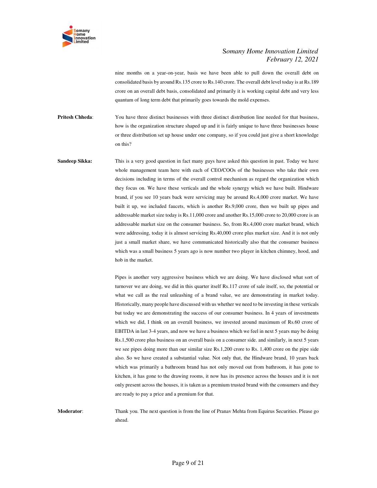

nine months on a year-on-year, basis we have been able to pull down the overall debt on consolidated basis by around Rs.135 crore to Rs.140 crore. The overall debt level today is at Rs.189 crore on an overall debt basis, consolidated and primarily it is working capital debt and very less quantum of long term debt that primarily goes towards the mold expenses.

**Pritesh Chheda**: You have three distinct businesses with three distinct distribution line needed for that business, how is the organization structure shaped up and it is fairly unique to have three businesses house or three distribution set up house under one company, so if you could just give a short knowledge on this?

**Sandeep Sikka:** This is a very good question in fact many guys have asked this question in past. Today we have whole management team here with each of CEO/COOs of the businesses who take their own decisions including in terms of the overall control mechanism as regard the organization which they focus on. We have these verticals and the whole synergy which we have built. Hindware brand, if you see 10 years back were servicing may be around Rs.4,000 crore market. We have built it up, we included faucets, which is another Rs.9,000 crore, then we built up pipes and addressable market size today is Rs.11,000 crore and another Rs.15,000 crore to 20,000 crore is an addressable market size on the consumer business. So, from Rs.4,000 crore market brand, which were addressing, today it is almost servicing Rs.40,000 crore plus market size. And it is not only just a small market share, we have communicated historically also that the consumer business which was a small business 5 years ago is now number two player in kitchen chimney, hood, and hob in the market.

> Pipes is another very aggressive business which we are doing. We have disclosed what sort of turnover we are doing, we did in this quarter itself Rs.117 crore of sale itself, so, the potential or what we call as the real unleashing of a brand value, we are demonstrating in market today. Historically, many people have discussed with us whether we need to be investing in these verticals but today we are demonstrating the success of our consumer business. In 4 years of investments which we did, I think on an overall business, we invested around maximum of Rs.60 crore of EBITDA in last 3-4 years, and now we have a business which we feel in next 5 years may be doing Rs.1,500 crore plus business on an overall basis on a consumer side. and similarly, in next 5 years we see pipes doing more than our similar size Rs.1,200 crore to Rs. 1,400 crore on the pipe side also. So we have created a substantial value. Not only that, the Hindware brand, 10 years back which was primarily a bathroom brand has not only moved out from bathroom, it has gone to kitchen, it has gone to the drawing rooms, it now has its presence across the houses and it is not only present across the houses, it is taken as a premium trusted brand with the consumers and they are ready to pay a price and a premium for that.

**Moderator**: Thank you. The next question is from the line of Pranav Mehta from Equirus Securities. Please go ahead.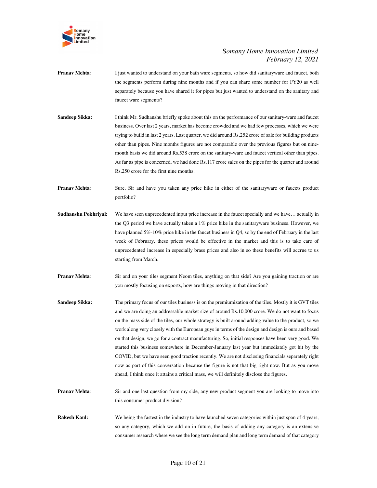

- **Pranav Mehta:** I just wanted to understand on your bath ware segments, so how did sanitaryware and faucet, both the segments perform during nine months and if you can share some number for FY20 as well separately because you have shared it for pipes but just wanted to understand on the sanitary and faucet ware segments?
- **Sandeep Sikka:** I think Mr. Sudhanshu briefly spoke about this on the performance of our sanitary-ware and faucet business. Over last 2 years, market has become crowded and we had few processes, which we were trying to build in last 2 years. Last quarter, we did around Rs.252 crore of sale for building products other than pipes. Nine months figures are not comparable over the previous figures but on ninemonth basis we did around Rs.538 crore on the sanitary-ware and faucet vertical other than pipes. As far as pipe is concerned, we had done Rs.117 crore sales on the pipes for the quarter and around Rs.250 crore for the first nine months.
- **Pranav Mehta**: Sure, Sir and have you taken any price hike in either of the sanitaryware or faucets product portfolio?
- **Sudhanshu Pokhriyal:** We have seen unprecedented input price increase in the faucet specially and we have… actually in the Q3 period we have actually taken a 1% price hike in the sanitaryware business. However, we have planned 5%-10% price hike in the faucet business in Q4, so by the end of February in the last week of February, these prices would be effective in the market and this is to take care of unprecedented increase in especially brass prices and also in so these benefits will accrue to us starting from March.
- **Pranav Mehta:** Sir and on your tiles segment Neom tiles, anything on that side? Are you gaining traction or are you mostly focusing on exports, how are things moving in that direction?
- **Sandeep Sikka:** The primary focus of our tiles business is on the premiumization of the tiles. Mostly it is GVT tiles and we are doing an addressable market size of around Rs.10,000 crore. We do not want to focus on the mass side of the tiles, our whole strategy is built around adding value to the product, so we work along very closely with the European guys in terms of the design and design is ours and based on that design, we go for a contract manufacturing. So, initial responses have been very good. We started this business somewhere in December-January last year but immediately got hit by the COVID, but we have seen good traction recently. We are not disclosing financials separately right now as part of this conversation because the figure is not that big right now. But as you move ahead, I think once it attains a critical mass, we will definitely disclose the figures.
- **Pranav Mehta:** Sir and one last question from my side, any new product segment you are looking to move into this consumer product division?
- **Rakesh Kaul:** We being the fastest in the industry to have launched seven categories within just span of 4 years, so any category, which we add on in future, the basis of adding any category is an extensive consumer research where we see the long term demand plan and long term demand of that category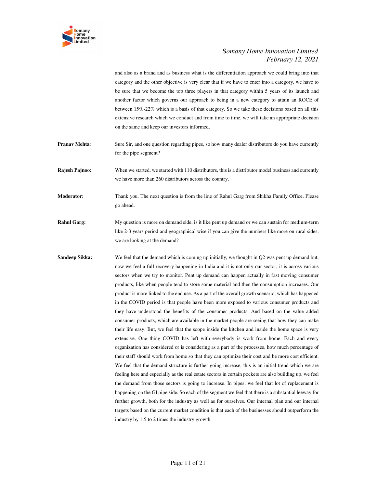

and also as a brand and as business what is the differentiation approach we could bring into that category and the other objective is very clear that if we have to enter into a category, we have to be sure that we become the top three players in that category within 5 years of its launch and another factor which governs our approach to being in a new category to attain an ROCE of between 15%-22% which is a basis of that category. So we take these decisions based on all this extensive research which we conduct and from time to time, we will take an appropriate decision on the same and keep our investors informed.

**Pranav Mehta:** Sure Sir, and one question regarding pipes, so how many dealer distributors do you have currently for the pipe segment?

**Rajesh Pajnoo:** When we started, we started with 110 distributors, this is a distributor model business and currently we have more than 260 distributors across the country.

**Moderator:** Thank you. The next question is from the line of Rahul Garg from Shikha Family Office. Please go ahead.

- **Rahul Garg:** My question is more on demand side, is it like pent up demand or we can sustain for medium-term like 2-3 years period and geographical wise if you can give the numbers like more on rural sides, we are looking at the demand?
- **Sandeep Sikka:** We feel that the demand which is coming up initially, we thought in Q2 was pent up demand but, now we feel a full recovery happening in India and it is not only our sector, it is across various sectors when we try to monitor. Pent up demand can happen actually in fast moving consumer products, like when people tend to store some material and then the consumption increases. Our product is more linked to the end use. As a part of the overall growth scenario, which has happened in the COVID period is that people have been more exposed to various consumer products and they have understood the benefits of the consumer products. And based on the value added consumer products, which are available in the market people are seeing that how they can make their life easy. But, we feel that the scope inside the kitchen and inside the home space is very extensive. One thing COVID has left with everybody is work from home. Each and every organization has considered or is considering as a part of the processes, how much percentage of their staff should work from home so that they can optimize their cost and be more cost efficient. We feel that the demand structure is further going increase, this is an initial trend which we are feeling here and especially as the real estate sectors in certain pockets are also building up, we feel the demand from those sectors is going to increase. In pipes, we feel that lot of replacement is happening on the GI pipe side. So each of the segment we feel that there is a substantial leeway for further growth, both for the industry as well as for ourselves. Our internal plan and our internal targets based on the current market condition is that each of the businesses should outperform the industry by 1.5 to 2 times the industry growth.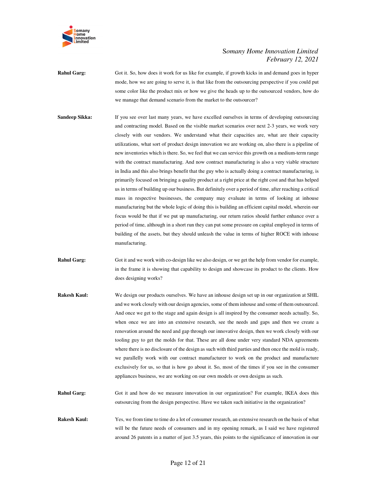

**Rahul Garg:** Got it. So, how does it work for us like for example, if growth kicks in and demand goes in hyper mode, how we are going to serve it, is that like from the outsourcing perspective if you could put some color like the product mix or how we give the heads up to the outsourced vendors, how do we manage that demand scenario from the market to the outsourcer?

- **Sandeep Sikka:** If you see over last many years, we have excelled ourselves in terms of developing outsourcing and contracting model. Based on the visible market scenarios over next 2-3 years, we work very closely with our vendors. We understand what their capacities are, what are their capacity utilizations, what sort of product design innovation we are working on, also there is a pipeline of new inventories which is there. So, we feel that we can service this growth on a medium-term range with the contract manufacturing. And now contract manufacturing is also a very viable structure in India and this also brings benefit that the guy who is actually doing a contract manufacturing, is primarily focused on bringing a quality product at a right price at the right cost and that has helped us in terms of building up our business. But definitely over a period of time, after reaching a critical mass in respective businesses, the company may evaluate in terms of looking at inhouse manufacturing but the whole logic of doing this is building an efficient capital model, wherein our focus would be that if we put up manufacturing, our return ratios should further enhance over a period of time, although in a short run they can put some pressure on capital employed in terms of building of the assets, but they should unleash the value in terms of higher ROCE with inhouse manufacturing.
- **Rahul Garg:** Got it and we work with co-design like we also design, or we get the help from vendor for example, in the frame it is showing that capability to design and showcase its product to the clients. How does designing works?
- **Rakesh Kaul:** We design our products ourselves. We have an inhouse design set up in our organization at SHIL and we work closely with our design agencies, some of them inhouse and some of them outsourced. And once we get to the stage and again design is all inspired by the consumer needs actually. So, when once we are into an extensive research, see the needs and gaps and then we create a renovation around the need and gap through our innovative design, then we work closely with our tooling guy to get the molds for that. These are all done under very standard NDA agreements where there is no disclosure of the design as such with third parties and then once the mold is ready, we parallelly work with our contract manufacturer to work on the product and manufacture exclusively for us, so that is how go about it. So, most of the times if you see in the consumer appliances business, we are working on our own models or own designs as such.
- **Rahul Garg:** Got it and how do we measure innovation in our organization? For example, IKEA does this outsourcing from the design perspective. Have we taken such initiative in the organization?
- **Rakesh Kaul:** Yes, we from time to time do a lot of consumer research, an extensive research on the basis of what will be the future needs of consumers and in my opening remark, as I said we have registered around 26 patents in a matter of just 3.5 years, this points to the significance of innovation in our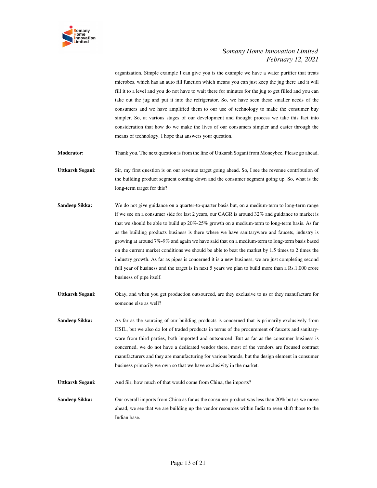

organization. Simple example I can give you is the example we have a water purifier that treats microbes, which has an auto fill function which means you can just keep the jug there and it will fill it to a level and you do not have to wait there for minutes for the jug to get filled and you can take out the jug and put it into the refrigerator. So, we have seen these smaller needs of the consumers and we have amplified them to our use of technology to make the consumer buy simpler. So, at various stages of our development and thought process we take this fact into consideration that how do we make the lives of our consumers simpler and easier through the means of technology. I hope that answers your question.

**Moderator:** Thank you. The next question is from the line of Uttkarsh Sogani from Moneybee. Please go ahead.

**Uttkarsh Sogani:** Sir, my first question is on our revenue target going ahead. So, I see the revenue contribution of the building product segment coming down and the consumer segment going up. So, what is the long-term target for this?

**Sandeep Sikka:** We do not give guidance on a quarter-to-quarter basis but, on a medium-term to long-term range if we see on a consumer side for last 2 years, our CAGR is around 32% and guidance to market is that we should be able to build up 20%-25% growth on a medium-term to long-term basis. As far as the building products business is there where we have sanitaryware and faucets, industry is growing at around 7%-9% and again we have said that on a medium-term to long-term basis based on the current market conditions we should be able to beat the market by 1.5 times to 2 times the industry growth. As far as pipes is concerned it is a new business, we are just completing second full year of business and the target is in next 5 years we plan to build more than a Rs.1,000 crore business of pipe itself.

**Uttkarsh Sogani:** Okay, and when you get production outsourced, are they exclusive to us or they manufacture for someone else as well?

**Sandeep Sikka:** As far as the sourcing of our building products is concerned that is primarily exclusively from HSIL, but we also do lot of traded products in terms of the procurement of faucets and sanitaryware from third parties, both imported and outsourced. But as far as the consumer business is concerned, we do not have a dedicated vendor there, most of the vendors are focused contract manufacturers and they are manufacturing for various brands, but the design element in consumer business primarily we own so that we have exclusivity in the market.

**Uttkarsh Sogani:** And Sir, how much of that would come from China, the imports?

**Sandeep Sikka:** Our overall imports from China as far as the consumer product was less than 20% but as we move ahead, we see that we are building up the vendor resources within India to even shift those to the Indian base.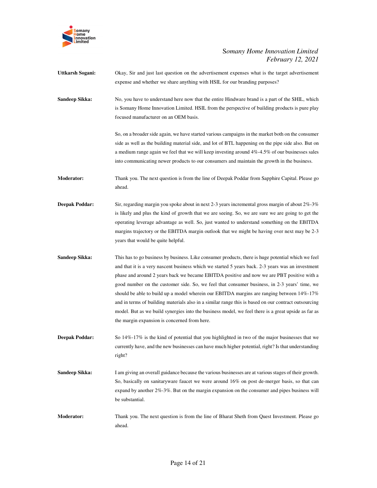

| <b>Uttkarsh Sogani:</b> | Okay, Sir and just last question on the advertisement expenses what is the target advertisement<br>expense and whether we share anything with HSIL for our branding purposes?                                                                                                                                                                                                                                                                                                                                                                                                                                                                                                                                                                                         |
|-------------------------|-----------------------------------------------------------------------------------------------------------------------------------------------------------------------------------------------------------------------------------------------------------------------------------------------------------------------------------------------------------------------------------------------------------------------------------------------------------------------------------------------------------------------------------------------------------------------------------------------------------------------------------------------------------------------------------------------------------------------------------------------------------------------|
| <b>Sandeep Sikka:</b>   | No, you have to understand here now that the entire Hindware brand is a part of the SHIL, which<br>is Somany Home Innovation Limited. HSIL from the perspective of building products is pure play<br>focused manufacturer on an OEM basis.                                                                                                                                                                                                                                                                                                                                                                                                                                                                                                                            |
|                         | So, on a broader side again, we have started various campaigns in the market both on the consumer<br>side as well as the building material side, and lot of BTL happening on the pipe side also. But on<br>a medium range again we feel that we will keep investing around 4%-4.5% of our businesses sales<br>into communicating newer products to our consumers and maintain the growth in the business.                                                                                                                                                                                                                                                                                                                                                             |
| <b>Moderator:</b>       | Thank you. The next question is from the line of Deepak Poddar from Sapphire Capital. Please go<br>ahead.                                                                                                                                                                                                                                                                                                                                                                                                                                                                                                                                                                                                                                                             |
| <b>Deepak Poddar:</b>   | Sir, regarding margin you spoke about in next 2-3 years incremental gross margin of about $2\% - 3\%$<br>is likely and plus the kind of growth that we are seeing. So, we are sure we are going to get the<br>operating leverage advantage as well. So, just wanted to understand something on the EBITDA<br>margins trajectory or the EBITDA margin outlook that we might be having over next may be 2-3<br>years that would be quite helpful.                                                                                                                                                                                                                                                                                                                       |
| <b>Sandeep Sikka:</b>   | This has to go business by business. Like consumer products, there is huge potential which we feel<br>and that it is a very nascent business which we started 5 years back. 2-3 years was an investment<br>phase and around 2 years back we became EBITDA positive and now we are PBT positive with a<br>good number on the customer side. So, we feel that consumer business, in 2-3 years' time, we<br>should be able to build up a model wherein our EBITDA margins are ranging between $14\%$ -17%<br>and in terms of building materials also in a similar range this is based on our contract outsourcing<br>model. But as we build synergies into the business model, we feel there is a great upside as far as<br>the margin expansion is concerned from here. |
| <b>Deepak Poddar:</b>   | So $14\%$ -17% is the kind of potential that you highlighted in two of the major businesses that we<br>currently have, and the new businesses can have much higher potential, right? Is that understanding<br>right?                                                                                                                                                                                                                                                                                                                                                                                                                                                                                                                                                  |
| Sandeep Sikka:          | I am giving an overall guidance because the various businesses are at various stages of their growth.<br>So, basically on sanitaryware faucet we were around 16% on post de-merger basis, so that can<br>expand by another $2\% - 3\%$ . But on the margin expansion on the consumer and pipes business will<br>be substantial.                                                                                                                                                                                                                                                                                                                                                                                                                                       |
| <b>Moderator:</b>       | Thank you. The next question is from the line of Bharat Sheth from Quest Investment. Please go<br>ahead.                                                                                                                                                                                                                                                                                                                                                                                                                                                                                                                                                                                                                                                              |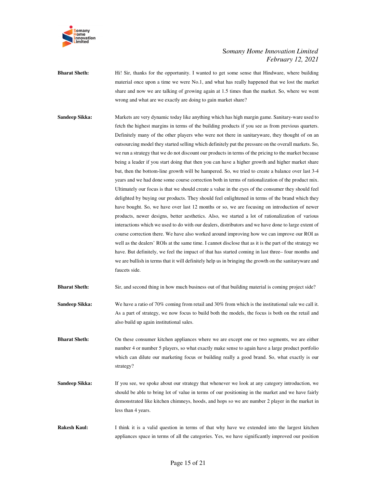

**Bharat Sheth:** Hi! Sir, thanks for the opportunity. I wanted to get some sense that Hindware, where building material once upon a time we were No.1, and what has really happened that we lost the market share and now we are talking of growing again at 1.5 times than the market. So, where we went wrong and what are we exactly are doing to gain market share?

**Sandeep Sikka:** Markets are very dynamic today like anything which has high margin game. Sanitary-ware used to fetch the highest margins in terms of the building products if you see as from previous quarters. Definitely many of the other players who were not there in sanitaryware, they thought of on an outsourcing model they started selling which definitely put the pressure on the overall markets. So, we run a strategy that we do not discount our products in terms of the pricing to the market because being a leader if you start doing that then you can have a higher growth and higher market share but, then the bottom-line growth will be hampered. So, we tried to create a balance over last 3-4 years and we had done some course correction both in terms of rationalization of the product mix. Ultimately our focus is that we should create a value in the eyes of the consumer they should feel delighted by buying our products. They should feel enlightened in terms of the brand which they have bought. So, we have over last 12 months or so, we are focusing on introduction of newer products, newer designs, better aesthetics. Also, we started a lot of rationalization of various interactions which we used to do with our dealers, distributors and we have done to large extent of course correction there. We have also worked around improving how we can improve our ROI as well as the dealers' ROIs at the same time. I cannot disclose that as it is the part of the strategy we have. But definitely, we feel the impact of that has started coming in last three– four months and we are bullish in terms that it will definitely help us in bringing the growth on the sanitaryware and faucets side.

**Bharat Sheth:** Sir, and second thing in how much business out of that building material is coming project side?

**Sandeep Sikka:** We have a ratio of 70% coming from retail and 30% from which is the institutional sale we call it. As a part of strategy, we now focus to build both the models, the focus is both on the retail and also build up again institutional sales.

**Bharat Sheth:** On these consumer kitchen appliances where we are except one or two segments, we are either number 4 or number 5 players, so what exactly make sense to again have a large product portfolio which can dilute our marketing focus or building really a good brand. So, what exactly is our strategy?

**Sandeep Sikka:** If you see, we spoke about our strategy that whenever we look at any category introduction, we should be able to bring lot of value in terms of our positioning in the market and we have fairly demonstrated like kitchen chimneys, hoods, and hops so we are number 2 player in the market in less than 4 years.

**Rakesh Kaul:** I think it is a valid question in terms of that why have we extended into the largest kitchen appliances space in terms of all the categories. Yes, we have significantly improved our position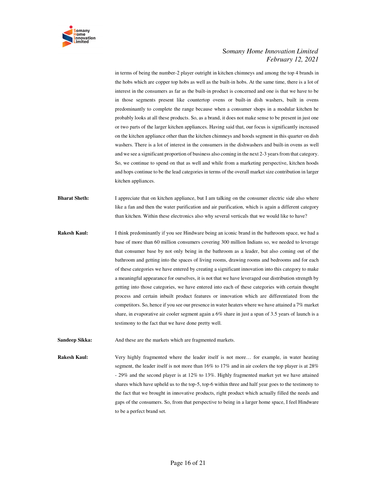

in terms of being the number-2 player outright in kitchen chimneys and among the top 4 brands in the hobs which are copper top hobs as well as the built-in hobs. At the same time, there is a lot of interest in the consumers as far as the built-in product is concerned and one is that we have to be in those segments present like countertop ovens or built-in dish washers, built in ovens predominantly to complete the range because when a consumer shops in a modular kitchen he probably looks at all these products. So, as a brand, it does not make sense to be present in just one or two parts of the larger kitchen appliances. Having said that, our focus is significantly increased on the kitchen appliance other than the kitchen chimneys and hoods segment in this quarter on dish washers. There is a lot of interest in the consumers in the dishwashers and built-in ovens as well and we see a significant proportion of business also coming in the next 2-3 years from that category. So, we continue to spend on that as well and while from a marketing perspective, kitchen hoods and hops continue to be the lead categories in terms of the overall market size contribution in larger kitchen appliances.

**Bharat Sheth:** I appreciate that on kitchen appliance, but I am talking on the consumer electric side also where like a fan and then the water purification and air purification, which is again a different category than kitchen. Within these electronics also why several verticals that we would like to have?

- **Rakesh Kaul:** I think predominantly if you see Hindware being an iconic brand in the bathroom space, we had a base of more than 60 million consumers covering 300 million Indians so, we needed to leverage that consumer base by not only being in the bathroom as a leader, but also coming out of the bathroom and getting into the spaces of living rooms, drawing rooms and bedrooms and for each of these categories we have entered by creating a significant innovation into this category to make a meaningful appearance for ourselves, it is not that we have leveraged our distribution strength by getting into those categories, we have entered into each of these categories with certain thought process and certain inbuilt product features or innovation which are differentiated from the competitors. So, hence if you see our presence in water heaters where we have attained a 7% market share, in evaporative air cooler segment again a 6% share in just a span of 3.5 years of launch is a testimony to the fact that we have done pretty well.
- **Sandeep Sikka:** And these are the markets which are fragmented markets.

**Rakesh Kaul:** Very highly fragmented where the leader itself is not more... for example, in water heating segment, the leader itself is not more than 16% to 17% and in air coolers the top player is at 28% - 29% and the second player is at 12% to 13%. Highly fragmented market yet we have attained shares which have upheld us to the top-5, top-6 within three and half year goes to the testimony to the fact that we brought in innovative products, right product which actually filled the needs and gaps of the consumers. So, from that perspective to being in a larger home space, I feel Hindware to be a perfect brand set.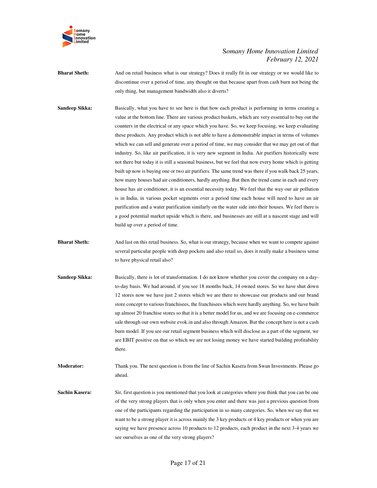

- **Bharat Sheth:** And on retail business what is our strategy? Does it really fit in our strategy or we would like to discontinue over a period of time, any thought on that because apart from cash burn not being the only thing, but management bandwidth also it diverts?
- **Sandeep Sikka:** Basically, what you have to see here is that how each product is performing in terms creating a value at the bottom line. There are various product baskets, which are very essential to buy out the counters in the electrical or any space which you have. So, we keep focusing, we keep evaluating these products. Any product which is not able to have a demonstrable impact in terms of volumes which we can sell and generate over a period of time, we may consider that we may get out of that industry. So, like air purification, it is very new segment in India. Air purifiers historically were not there but today it is still a seasonal business, but we feel that now every home which is getting built up now is buying one or two air purifiers. The same trend was there if you walk back 25 years, how many houses had air conditioners, hardly anything. But then the trend came in each and every house has air conditioner, it is an essential necessity today. We feel that the way our air pollution is in India, in various pocket segments over a period time each house will need to have an air purification and a water purification similarly on the water side into their houses. We feel there is a good potential market upside which is there, and businesses are still at a nascent stage and will build up over a period of time.
- **Bharat Sheth:** And last on this retail business. So, what is our strategy, because when we want to compete against several particular people with deep pockets and also retail so, does it really make a business sense to have physical retail also?
- **Sandeep Sikka:** Basically, there is lot of transformation. I do not know whether you cover the company on a dayto-day basis. We had around, if you see 18 months back, 14 owned stores. So we have shut down 12 stores now we have just 2 stores which we are there to showcase our products and our brand store concept to various franchisees, the franchisees which were hardly anything. So, we have built up almost 20 franchise stores so that it is a better model for us, and we are focusing on e-commerce sale through our own website evok.in and also through Amazon. But the concept here is not a cash burn model. If you see our retail segment business which will disclose as a part of the segment, we are EBIT positive on that so which we are not losing money we have started building profitability there.
- **Moderator:** Thank you. The next question is from the line of Sachin Kasera from Swan Investments. Please go ahead.
- **Sachin Kasera:** Sir, first question is you mentioned that you look at categories where you think that you can be one of the very strong players that is only when you enter and there was just a previous question from one of the participants regarding the participation in so many categories. So, when we say that we want to be a strong player it is across mainly the 3 key products or 4 key products or when you are saying we have presence across 10 products to 12 products, each product in the next 3-4 years we see ourselves as one of the very strong players?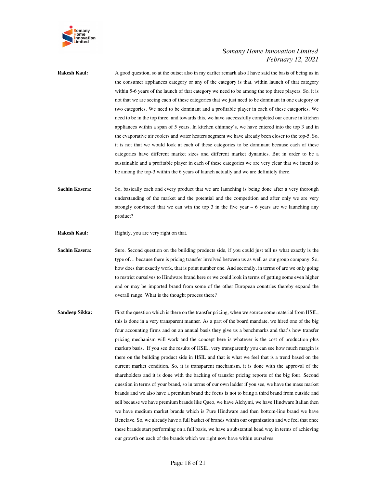

**Rakesh Kaul:** A good question, so at the outset also in my earlier remark also I have said the basis of being us in the consumer appliances category or any of the category is that, within launch of that category within 5-6 years of the launch of that category we need to be among the top three players. So, it is not that we are seeing each of these categories that we just need to be dominant in one category or two categories. We need to be dominant and a profitable player in each of these categories. We need to be in the top three, and towards this, we have successfully completed our course in kitchen appliances within a span of 5 years. In kitchen chimney's, we have entered into the top 3 and in the evaporative air coolers and water heaters segment we have already been closer to the top-5. So, it is not that we would look at each of these categories to be dominant because each of these categories have different market sizes and different market dynamics. But in order to be a sustainable and a profitable player in each of these categories we are very clear that we intend to be among the top-3 within the 6 years of launch actually and we are definitely there.

**Sachin Kasera:** So, basically each and every product that we are launching is being done after a very thorough understanding of the market and the potential and the competition and after only we are very strongly convinced that we can win the top  $3$  in the five year  $-6$  years are we launching any product?

**Rakesh Kaul:** Rightly, you are very right on that.

**Sachin Kasera:** Sure. Second question on the building products side, if you could just tell us what exactly is the type of… because there is pricing transfer involved between us as well as our group company. So, how does that exactly work, that is point number one. And secondly, in terms of are we only going to restrict ourselves to Hindware brand here or we could look in terms of getting some even higher end or may be imported brand from some of the other European countries thereby expand the overall range. What is the thought process there?

**Sandeep Sikka:** First the question which is there on the transfer pricing, when we source some material from HSIL, this is done in a very transparent manner. As a part of the board mandate, we hired one of the big four accounting firms and on an annual basis they give us a benchmarks and that's how transfer pricing mechanism will work and the concept here is whatever is the cost of production plus markup basis. If you see the results of HSIL, very transparently you can see how much margin is there on the building product side in HSIL and that is what we feel that is a trend based on the current market condition. So, it is transparent mechanism, it is done with the approval of the shareholders and it is done with the backing of transfer pricing reports of the big four. Second question in terms of your brand, so in terms of our own ladder if you see, we have the mass market brands and we also have a premium brand the focus is not to bring a third brand from outside and sell because we have premium brands like Queo, we have Alchymi, we have Hindware Italian then we have medium market brands which is Pure Hindware and then bottom-line brand we have Benelave. So, we already have a full basket of brands within our organization and we feel that once these brands start performing on a full basis, we have a substantial head way in terms of achieving our growth on each of the brands which we right now have within ourselves.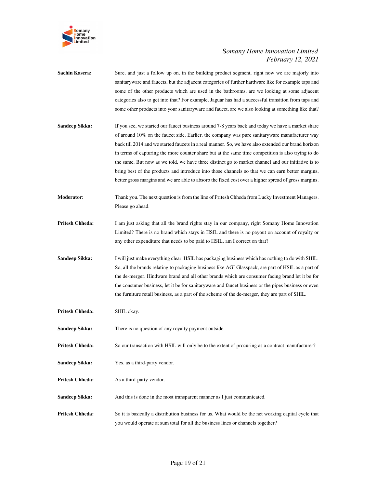

| <b>Sachin Kasera:</b>  | Sure, and just a follow up on, in the building product segment, right now we are majorly into<br>sanitaryware and faucets, but the adjacent categories of further hardware like for example taps and<br>some of the other products which are used in the bathrooms, are we looking at some adjacent<br>categories also to get into that? For example, Jaguar has had a successful transition from taps and<br>some other products into your sanitary ware and faucet, are we also looking at something like that?                                                                                                                                                                                                                 |
|------------------------|-----------------------------------------------------------------------------------------------------------------------------------------------------------------------------------------------------------------------------------------------------------------------------------------------------------------------------------------------------------------------------------------------------------------------------------------------------------------------------------------------------------------------------------------------------------------------------------------------------------------------------------------------------------------------------------------------------------------------------------|
| Sandeep Sikka:         | If you see, we started our faucet business around 7-8 years back and today we have a market share<br>of around 10% on the faucet side. Earlier, the company was pure sanitaryware manufacturer way<br>back till 2014 and we started faucets in a real manner. So, we have also extended our brand horizon<br>in terms of capturing the more counter share but at the same time competition is also trying to do<br>the same. But now as we told, we have three distinct go to market channel and our initiative is to<br>bring best of the products and introduce into those channels so that we can earn better margins,<br>better gross margins and we are able to absorb the fixed cost over a higher spread of gross margins. |
| <b>Moderator:</b>      | Thank you. The next question is from the line of Pritesh Chheda from Lucky Investment Managers.<br>Please go ahead.                                                                                                                                                                                                                                                                                                                                                                                                                                                                                                                                                                                                               |
| <b>Pritesh Chheda:</b> | I am just asking that all the brand rights stay in our company, right Somany Home Innovation<br>Limited? There is no brand which stays in HSIL and there is no payout on account of royalty or<br>any other expenditure that needs to be paid to HSIL, am I correct on that?                                                                                                                                                                                                                                                                                                                                                                                                                                                      |
| Sandeep Sikka:         | I will just make everything clear. HSIL has packaging business which has nothing to do with SHIL.<br>So, all the brands relating to packaging business like AGI Glasspack, are part of HSIL as a part of<br>the de-merger. Hindware brand and all other brands which are consumer facing brand let it be for<br>the consumer business, let it be for sanitary ware and faucet business or the pipes business or even<br>the furniture retail business, as a part of the scheme of the de-merger, they are part of SHIL.                                                                                                                                                                                                           |
| Pritesh Chheda:        | SHIL okay.                                                                                                                                                                                                                                                                                                                                                                                                                                                                                                                                                                                                                                                                                                                        |
| Sandeep Sikka:         | There is no question of any royalty payment outside.                                                                                                                                                                                                                                                                                                                                                                                                                                                                                                                                                                                                                                                                              |
| Pritesh Chheda:        | So our transaction with HSIL will only be to the extent of procuring as a contract manufacturer?                                                                                                                                                                                                                                                                                                                                                                                                                                                                                                                                                                                                                                  |
| Sandeep Sikka:         | Yes, as a third-party vendor.                                                                                                                                                                                                                                                                                                                                                                                                                                                                                                                                                                                                                                                                                                     |
| <b>Pritesh Chheda:</b> | As a third-party vendor.                                                                                                                                                                                                                                                                                                                                                                                                                                                                                                                                                                                                                                                                                                          |
| Sandeep Sikka:         | And this is done in the most transparent manner as I just communicated.                                                                                                                                                                                                                                                                                                                                                                                                                                                                                                                                                                                                                                                           |
| <b>Pritesh Chheda:</b> | So it is basically a distribution business for us. What would be the net working capital cycle that<br>you would operate at sum total for all the business lines or channels together?                                                                                                                                                                                                                                                                                                                                                                                                                                                                                                                                            |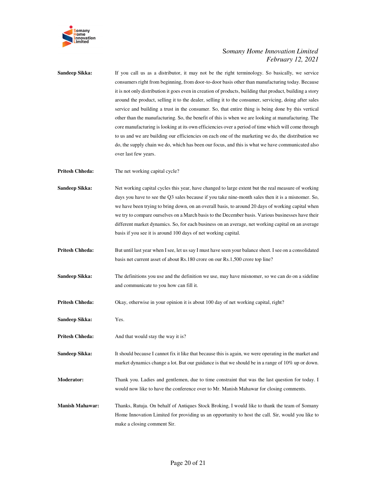

| Sandeep Sikka:         | If you call us as a distributor, it may not be the right terminology. So basically, we service<br>consumers right from beginning, from door-to-door basis other than manufacturing today. Because<br>it is not only distribution it goes even in creation of products, building that product, building a story<br>around the product, selling it to the dealer, selling it to the consumer, servicing, doing after sales<br>service and building a trust in the consumer. So, that entire thing is being done by this vertical<br>other than the manufacturing. So, the benefit of this is when we are looking at manufacturing. The<br>core manufacturing is looking at its own efficiencies over a period of time which will come through<br>to us and we are building our efficiencies on each one of the marketing we do, the distribution we<br>do, the supply chain we do, which has been our focus, and this is what we have communicated also<br>over last few years. |
|------------------------|-------------------------------------------------------------------------------------------------------------------------------------------------------------------------------------------------------------------------------------------------------------------------------------------------------------------------------------------------------------------------------------------------------------------------------------------------------------------------------------------------------------------------------------------------------------------------------------------------------------------------------------------------------------------------------------------------------------------------------------------------------------------------------------------------------------------------------------------------------------------------------------------------------------------------------------------------------------------------------|
| <b>Pritesh Chheda:</b> | The net working capital cycle?                                                                                                                                                                                                                                                                                                                                                                                                                                                                                                                                                                                                                                                                                                                                                                                                                                                                                                                                                |
| Sandeep Sikka:         | Net working capital cycles this year, have changed to large extent but the real measure of working<br>days you have to see the Q3 sales because if you take nine-month sales then it is a misnomer. So,<br>we have been trying to bring down, on an overall basis, to around 20 days of working capital when<br>we try to compare ourselves on a March basis to the December basis. Various businesses have their<br>different market dynamics. So, for each business on an average, net working capital on an average<br>basis if you see it is around 100 days of net working capital.                                                                                                                                                                                                                                                                                                                                                                                      |
| <b>Pritesh Chheda:</b> | But until last year when I see, let us say I must have seen your balance sheet. I see on a consolidated<br>basis net current asset of about Rs.180 crore on our Rs.1,500 crore top line?                                                                                                                                                                                                                                                                                                                                                                                                                                                                                                                                                                                                                                                                                                                                                                                      |
| Sandeep Sikka:         | The definitions you use and the definition we use, may have misnomer, so we can do on a sideline<br>and communicate to you how can fill it.                                                                                                                                                                                                                                                                                                                                                                                                                                                                                                                                                                                                                                                                                                                                                                                                                                   |
| <b>Pritesh Chheda:</b> | Okay, otherwise in your opinion it is about 100 day of net working capital, right?                                                                                                                                                                                                                                                                                                                                                                                                                                                                                                                                                                                                                                                                                                                                                                                                                                                                                            |
| Sandeep Sikka:         | Yes.                                                                                                                                                                                                                                                                                                                                                                                                                                                                                                                                                                                                                                                                                                                                                                                                                                                                                                                                                                          |
| <b>Pritesh Chheda:</b> | And that would stay the way it is?                                                                                                                                                                                                                                                                                                                                                                                                                                                                                                                                                                                                                                                                                                                                                                                                                                                                                                                                            |
| Sandeep Sikka:         | It should because I cannot fix it like that because this is again, we were operating in the market and<br>market dynamics change a lot. But our guidance is that we should be in a range of 10% up or down.                                                                                                                                                                                                                                                                                                                                                                                                                                                                                                                                                                                                                                                                                                                                                                   |
| Moderator:             | Thank you. Ladies and gentlemen, due to time constraint that was the last question for today. I<br>would now like to have the conference over to Mr. Manish Mahawar for closing comments.                                                                                                                                                                                                                                                                                                                                                                                                                                                                                                                                                                                                                                                                                                                                                                                     |
| <b>Manish Mahawar:</b> | Thanks, Rutuja. On behalf of Antiques Stock Broking, I would like to thank the team of Somany<br>Home Innovation Limited for providing us an opportunity to host the call. Sir, would you like to<br>make a closing comment Sir.                                                                                                                                                                                                                                                                                                                                                                                                                                                                                                                                                                                                                                                                                                                                              |